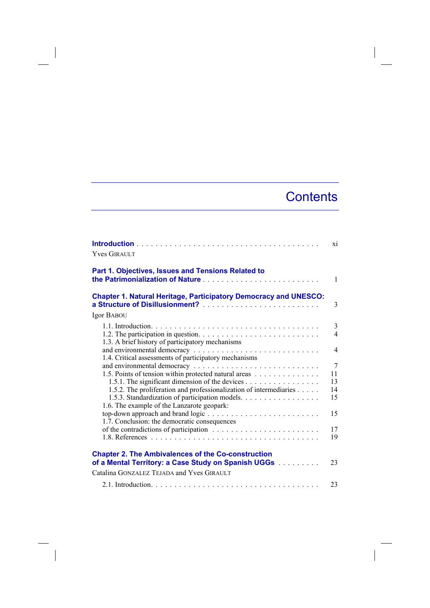## **Contents**

| <b>Yves GIRAULT</b>                                                                       | xi                  |
|-------------------------------------------------------------------------------------------|---------------------|
| Part 1. Objectives, Issues and Tensions Related to                                        | $\mathbf{1}$        |
| <b>Chapter 1. Natural Heritage, Participatory Democracy and UNESCO:</b>                   | 3                   |
| Igor BABOU                                                                                |                     |
| 1.3. A brief history of participatory mechanisms                                          | 3<br>$\overline{4}$ |
| 1.4. Critical assessments of participatory mechanisms                                     | $\overline{4}$      |
|                                                                                           | $\overline{7}$      |
| 1.5. Points of tension within protected natural areas                                     | 11                  |
| 1.5.1. The significant dimension of the devices                                           | 13                  |
| 1.5.2. The proliferation and professionalization of intermediaries                        | 14                  |
| 1.5.3. Standardization of participation models.                                           | 15                  |
| 1.6. The example of the Lanzarote geopark:                                                | 15                  |
| 1.7. Conclusion: the democratic consequences                                              |                     |
| of the contradictions of participation $\ldots \ldots \ldots \ldots \ldots \ldots \ldots$ | 17                  |
|                                                                                           | 19                  |
|                                                                                           |                     |
| <b>Chapter 2. The Ambivalences of the Co-construction</b>                                 |                     |
| of a Mental Territory: a Case Study on Spanish UGGs                                       | 23                  |
| Catalina GONZALEZ TEJADA and Yves GIRAULT                                                 |                     |
|                                                                                           | 23                  |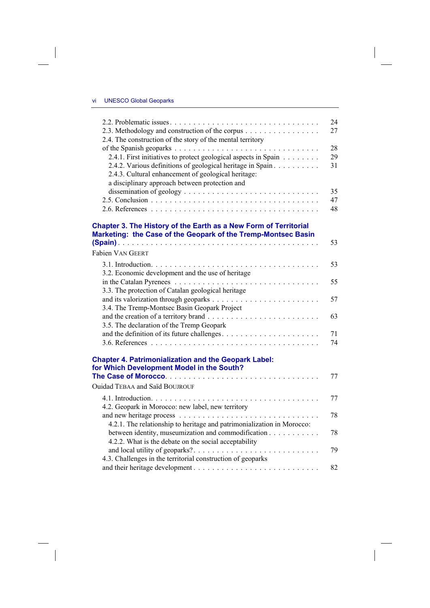$\overline{\phantom{a}}$ 

 $\begin{array}{c} \hline \end{array}$ 

|                                                                                                                                   | 24 |
|-----------------------------------------------------------------------------------------------------------------------------------|----|
| 2.3. Methodology and construction of the corpus                                                                                   | 27 |
| 2.4. The construction of the story of the mental territory                                                                        |    |
|                                                                                                                                   | 28 |
| 2.4.1. First initiatives to protect geological aspects in Spain                                                                   | 29 |
| 2.4.2. Various definitions of geological heritage in Spain                                                                        | 31 |
| 2.4.3. Cultural enhancement of geological heritage:                                                                               |    |
| a disciplinary approach between protection and                                                                                    |    |
|                                                                                                                                   | 35 |
|                                                                                                                                   | 47 |
|                                                                                                                                   | 48 |
| Chapter 3. The History of the Earth as a New Form of Territorial<br>Marketing: the Case of the Geopark of the Tremp-Montsec Basin | 53 |
| <b>Fabien VAN GEERT</b>                                                                                                           |    |
|                                                                                                                                   | 53 |
| 3.2. Economic development and the use of heritage                                                                                 |    |
|                                                                                                                                   | 55 |
| 3.3. The protection of Catalan geological heritage                                                                                |    |
|                                                                                                                                   | 57 |
| 3.4. The Tremp-Montsec Basin Geopark Project                                                                                      |    |
|                                                                                                                                   | 63 |
| 3.5. The declaration of the Tremp Geopark                                                                                         |    |
|                                                                                                                                   | 71 |
|                                                                                                                                   | 74 |
| <b>Chapter 4. Patrimonialization and the Geopark Label:</b><br>for Which Development Model in the South?                          |    |
|                                                                                                                                   | 77 |
| <b>Ouidad TEBAA and Saïd BOUJROUF</b>                                                                                             |    |
|                                                                                                                                   | 77 |
| 4.2. Geopark in Morocco: new label, new territory                                                                                 |    |
|                                                                                                                                   | 78 |
| 4.2.1. The relationship to heritage and patrimonialization in Morocco:                                                            |    |
| between identity, museumization and commodification                                                                               | 78 |
| 4.2.2. What is the debate on the social acceptability                                                                             |    |
|                                                                                                                                   | 79 |
| 4.3. Challenges in the territorial construction of geoparks                                                                       |    |
|                                                                                                                                   | 82 |

 $\Big\}$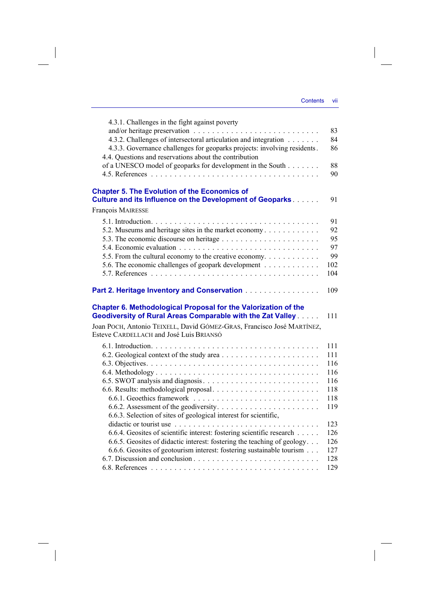$\overline{\phantom{a}}$ 

| 4.3.1. Challenges in the fight against poverty                                                                                     |            |
|------------------------------------------------------------------------------------------------------------------------------------|------------|
|                                                                                                                                    | 83         |
| 4.3.2. Challenges of intersectoral articulation and integration                                                                    | 84         |
| 4.3.3. Governance challenges for geoparks projects: involving residents.<br>4.4. Questions and reservations about the contribution | 86         |
| of a UNESCO model of geoparks for development in the South                                                                         | 88         |
|                                                                                                                                    | 90         |
| <b>Chapter 5. The Evolution of the Economics of</b><br>Culture and its Influence on the Development of Geoparks                    | 91         |
| François MAIRESSE                                                                                                                  |            |
|                                                                                                                                    | 91         |
| 5.2. Museums and heritage sites in the market economy                                                                              | 92         |
|                                                                                                                                    | 95         |
|                                                                                                                                    | 97         |
| 5.5. From the cultural economy to the creative economy.                                                                            | 99         |
| 5.6. The economic challenges of geopark development                                                                                | 102        |
|                                                                                                                                    | 104        |
| Part 2. Heritage Inventory and Conservation                                                                                        | 109        |
| Chapter 6. Methodological Proposal for the Valorization of the<br>Geodiversity of Rural Areas Comparable with the Zat Valley       | 111        |
| Joan POCH, Antonio TEIXELL, David GÓMEZ-GRAS, Francisco José MARTÍNEZ,<br>Esteve CARDELLACH and José Luis BRIANSÓ                  |            |
|                                                                                                                                    | 111        |
|                                                                                                                                    | 111        |
|                                                                                                                                    | 116        |
|                                                                                                                                    | 116        |
|                                                                                                                                    | 116        |
|                                                                                                                                    | 118        |
|                                                                                                                                    | 118        |
|                                                                                                                                    | 119        |
| 6.6.3. Selection of sites of geological interest for scientific,                                                                   |            |
|                                                                                                                                    |            |
|                                                                                                                                    | 123        |
| 6.6.4. Geosites of scientific interest: fostering scientific research                                                              | 126        |
| 6.6.5. Geosites of didactic interest: fostering the teaching of geology                                                            | 126        |
| 6.6.6. Geosites of geotourism interest: fostering sustainable tourism                                                              | 127        |
|                                                                                                                                    | 128<br>129 |

 $\overline{\phantom{a}}$ 

 $\mathcal{L}^{\mathcal{L}}$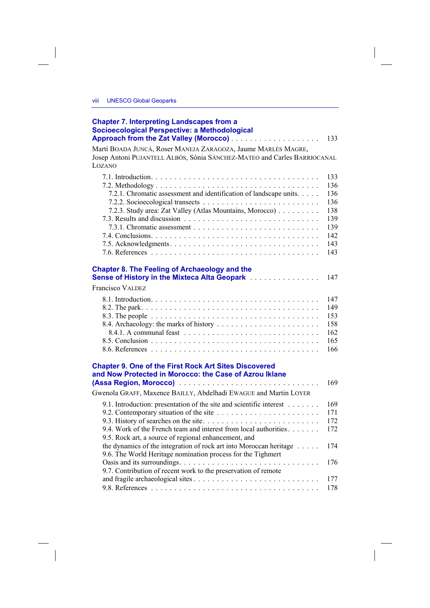## **Chapter 7. Interpreting Landscapes from a Socioecological Perspective: a Methodological Approach from the Zat Valley (Morocco)** . . . . . . . . . . . . . . . . . . . 133

Martí BOADA JUNCÀ, Roser MANEJA ZARAGOZA, Jaume MARLÈS MAGRE, Josep Antoni PUJANTELL ALBÓS, Sònia SÀNCHEZ-MATEO and Carles BARRIOCANAL LOZANO

|                                                                                                                          | 133<br>136 |
|--------------------------------------------------------------------------------------------------------------------------|------------|
| 7.2.1. Chromatic assessment and identification of landscape units.                                                       | 136        |
|                                                                                                                          | 136        |
| 7.2.3. Study area: Zat Valley (Atlas Mountains, Morocco)                                                                 | 138        |
|                                                                                                                          | 139        |
|                                                                                                                          | 139        |
|                                                                                                                          | 142        |
|                                                                                                                          | 143        |
|                                                                                                                          | 143        |
| <b>Chapter 8. The Feeling of Archaeology and the</b>                                                                     |            |
| Sense of History in the Mixteca Alta Geopark [11] Conservation of History                                                | 147        |
| <b>Francisco VALDEZ</b>                                                                                                  |            |
|                                                                                                                          | 147        |
|                                                                                                                          | 149        |
|                                                                                                                          | 153        |
|                                                                                                                          | 158        |
|                                                                                                                          | 162        |
|                                                                                                                          | 165        |
|                                                                                                                          | 166        |
| <b>Chapter 9. One of the First Rock Art Sites Discovered</b>                                                             |            |
| and Now Protected in Morocco: the Case of Azrou Iklane                                                                   |            |
|                                                                                                                          | 169        |
| Gwenola GRAFF, Maxence BAILLY, Abdelhadi EWAGUE and Martin LOYER                                                         |            |
| 9.1. Introduction: presentation of the site and scientific interest                                                      | 169        |
|                                                                                                                          | 171        |
|                                                                                                                          | 172        |
| 9.4. Work of the French team and interest from local authorities<br>9.5. Rock art, a source of regional enhancement, and | 172        |
| the dynamics of the integration of rock art into Moroccan heritage                                                       | 174        |
| 9.6. The World Heritage nomination process for the Tighmert                                                              |            |
|                                                                                                                          | 176        |
| 9.7. Contribution of recent work to the preservation of remote                                                           |            |
|                                                                                                                          | 177        |
|                                                                                                                          | 178        |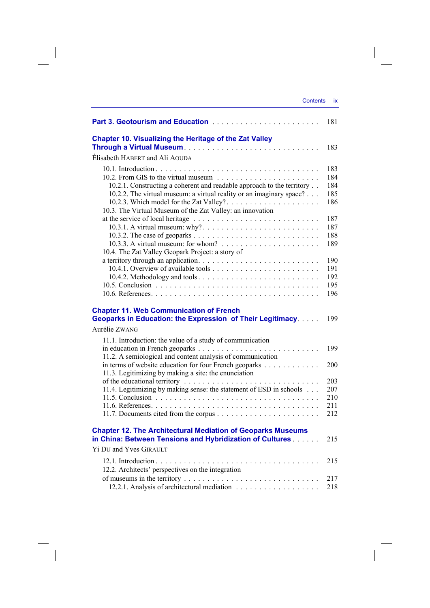| <b>Contents</b>                                                                                   | ix         |
|---------------------------------------------------------------------------------------------------|------------|
|                                                                                                   | 181        |
| <b>Chapter 10. Visualizing the Heritage of the Zat Valley</b>                                     |            |
|                                                                                                   | 183        |
| Elisabeth HABERT and Ali AOUDA                                                                    |            |
|                                                                                                   | 183        |
|                                                                                                   | 184        |
| 10.2.1. Constructing a coherent and readable approach to the territory                            | 184        |
| 10.2.2. The virtual museum: a virtual reality or an imaginary space?                              | 185        |
| 10.2.3. Which model for the Zat Valley?                                                           | 186        |
| 10.3. The Virtual Museum of the Zat Valley: an innovation                                         |            |
| at the service of local heritage $\ldots \ldots \ldots \ldots \ldots \ldots \ldots \ldots \ldots$ | 187        |
|                                                                                                   | 187        |
|                                                                                                   | 188        |
| 10.3.3. A virtual museum: for whom? $\ldots \ldots \ldots \ldots \ldots \ldots$                   | 189        |
| 10.4. The Zat Valley Geopark Project: a story of                                                  |            |
|                                                                                                   | 190        |
|                                                                                                   | 191        |
| 10.4.2. Methodology and tools                                                                     | 192<br>195 |
|                                                                                                   | 196        |
|                                                                                                   |            |
| <b>Chapter 11. Web Communication of French</b>                                                    |            |
| Geoparks in Education: the Expression of Their Legitimacy.                                        | 199        |
| Aurélie ZWANG                                                                                     |            |
| 11.1. Introduction: the value of a study of communication                                         |            |
|                                                                                                   | 199        |
| 11.2. A semiological and content analysis of communication                                        |            |
| in terms of website education for four French geoparks                                            | 200        |
| 11.3. Legitimizing by making a site: the enunciation                                              |            |
|                                                                                                   | 203        |
| 11.4. Legitimizing by making sense: the statement of ESD in schools                               | 207        |
|                                                                                                   | 210        |
|                                                                                                   | 211        |
|                                                                                                   | 212        |
| <b>Chapter 12. The Architectural Mediation of Geoparks Museums</b>                                |            |
| in China: Between Tensions and Hybridization of Cultures                                          | 215        |
| <b>Yi DU and Yves GIRAULT</b>                                                                     |            |
|                                                                                                   | 215        |
| 12.2. Architects' perspectives on the integration                                                 |            |

 $\overline{\phantom{a}}$ 

 $\overline{\phantom{a}}$ 

of museums in the territory  $\ldots \ldots \ldots \ldots \ldots \ldots \ldots \ldots \ldots$  . 217 12.2.1. Analysis of architectural mediation . . . . . . . . . . . . . . . . . . 218